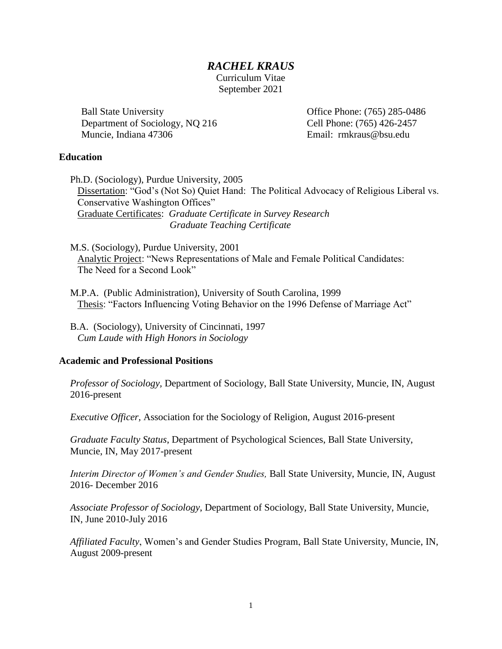### *RACHEL KRAUS*

Curriculum Vitae September 2021

Ball State University Department of Sociology, NQ 216 Muncie, Indiana 47306

Office Phone: (765) 285-0486 Cell Phone: (765) 426-2457 Email: rmkraus@bsu.edu

#### **Education**

Ph.D. (Sociology), Purdue University, 2005 Dissertation: "God's (Not So) Quiet Hand: The Political Advocacy of Religious Liberal vs. Conservative Washington Offices" Graduate Certificates: *Graduate Certificate in Survey Research Graduate Teaching Certificate*

M.S. (Sociology), Purdue University, 2001 Analytic Project: "News Representations of Male and Female Political Candidates: The Need for a Second Look"

- M.P.A. (Public Administration), University of South Carolina, 1999 Thesis: "Factors Influencing Voting Behavior on the 1996 Defense of Marriage Act"
- B.A. (Sociology), University of Cincinnati, 1997 *Cum Laude with High Honors in Sociology*

### **Academic and Professional Positions**

*Professor of Sociology,* Department of Sociology, Ball State University, Muncie, IN, August 2016-present

*Executive Officer,* Association for the Sociology of Religion, August 2016-present

*Graduate Faculty Status*, Department of Psychological Sciences, Ball State University, Muncie, IN, May 2017-present

*Interim Director of Women's and Gender Studies,* Ball State University, Muncie, IN, August 2016- December 2016

*Associate Professor of Sociology*, Department of Sociology, Ball State University, Muncie, IN, June 2010-July 2016

*Affiliated Faculty*, Women's and Gender Studies Program, Ball State University, Muncie, IN, August 2009-present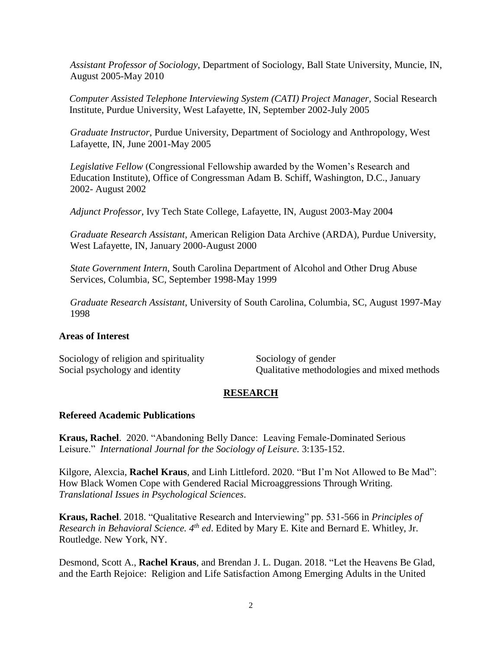*Assistant Professor of Sociology*, Department of Sociology, Ball State University, Muncie, IN, August 2005-May 2010

*Computer Assisted Telephone Interviewing System (CATI) Project Manager,* Social Research Institute, Purdue University, West Lafayette, IN, September 2002-July 2005

*Graduate Instructor*, Purdue University, Department of Sociology and Anthropology, West Lafayette, IN, June 2001-May 2005

*Legislative Fellow* (Congressional Fellowship awarded by the Women's Research and Education Institute), Office of Congressman Adam B. Schiff, Washington, D.C., January 2002- August 2002

*Adjunct Professor,* Ivy Tech State College, Lafayette, IN, August 2003-May 2004

*Graduate Research Assistant*, American Religion Data Archive (ARDA), Purdue University, West Lafayette, IN, January 2000-August 2000

*State Government Intern*, South Carolina Department of Alcohol and Other Drug Abuse Services, Columbia, SC, September 1998-May 1999

*Graduate Research Assistant*, University of South Carolina, Columbia, SC, August 1997-May 1998

#### **Areas of Interest**

Sociology of religion and spirituality Sociology of gender

Social psychology and identity **Qualitative methodologies and mixed methods** 

### **RESEARCH**

#### **Refereed Academic Publications**

**Kraus, Rachel**. 2020. "Abandoning Belly Dance: Leaving Female-Dominated Serious Leisure." *International Journal for the Sociology of Leisure.* 3:135-152.

Kilgore, Alexcia, **Rachel Kraus**, and Linh Littleford. 2020. "But I'm Not Allowed to Be Mad": How Black Women Cope with Gendered Racial Microaggressions Through Writing. *Translational Issues in Psychological Sciences*.

**Kraus, Rachel**. 2018. "Qualitative Research and Interviewing" pp. 531-566 in *Principles of Research in Behavioral Science. 4th ed*. Edited by Mary E. Kite and Bernard E. Whitley, Jr. Routledge. New York, NY.

Desmond, Scott A., **Rachel Kraus**, and Brendan J. L. Dugan. 2018. "Let the Heavens Be Glad, and the Earth Rejoice: Religion and Life Satisfaction Among Emerging Adults in the United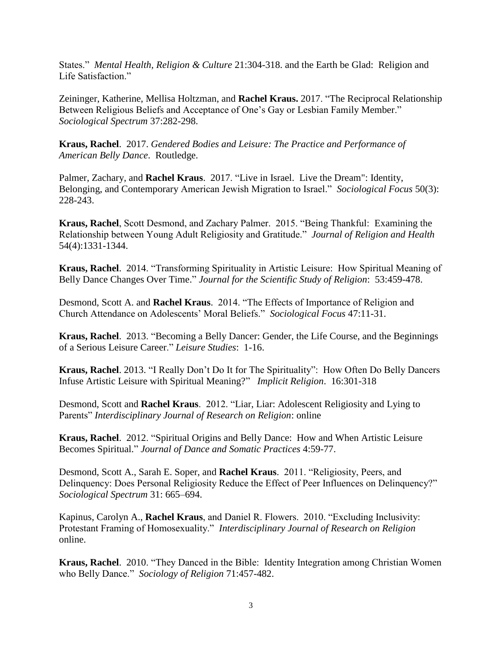States." *Mental Health, Religion & Culture* 21:304-318. and the Earth be Glad: Religion and Life Satisfaction."

Zeininger, Katherine, Mellisa Holtzman, and **Rachel Kraus.** 2017. "The Reciprocal Relationship Between Religious Beliefs and Acceptance of One's Gay or Lesbian Family Member." *Sociological Spectrum* 37:282-298.

**Kraus, Rachel**. 2017. *Gendered Bodies and Leisure: The Practice and Performance of American Belly Dance*. Routledge.

Palmer, Zachary, and **Rachel Kraus**. 2017. "Live in Israel. Live the Dream": Identity, Belonging, and Contemporary American Jewish Migration to Israel." *Sociological Focus* 50(3): 228-243.

**Kraus, Rachel**, Scott Desmond, and Zachary Palmer. 2015. "Being Thankful: Examining the Relationship between Young Adult Religiosity and Gratitude." *Journal of Religion and Health* 54(4):1331-1344.

**Kraus, Rachel**. 2014. "Transforming Spirituality in Artistic Leisure: How Spiritual Meaning of Belly Dance Changes Over Time." *Journal for the Scientific Study of Religion*: 53:459-478.

Desmond, Scott A. and **Rachel Kraus**. 2014. "The Effects of Importance of Religion and Church Attendance on Adolescents' Moral Beliefs." *Sociological Focus* 47:11-31.

**Kraus, Rachel**. 2013. "Becoming a Belly Dancer: Gender, the Life Course, and the Beginnings of a Serious Leisure Career." *Leisure Studies*: 1-16.

**Kraus, Rachel**. 2013. "I Really Don't Do It for The Spirituality": How Often Do Belly Dancers Infuse Artistic Leisure with Spiritual Meaning?" *Implicit Religion*. 16:301-318

Desmond, Scott and **Rachel Kraus**. 2012. "Liar, Liar: Adolescent Religiosity and Lying to Parents" *Interdisciplinary Journal of Research on Religion*: online

**Kraus, Rachel**. 2012. "Spiritual Origins and Belly Dance: How and When Artistic Leisure Becomes Spiritual." *Journal of Dance and Somatic Practices* 4:59-77.

Desmond, Scott A., Sarah E. Soper, and **Rachel Kraus**. 2011. "Religiosity, Peers, and Delinquency: Does Personal Religiosity Reduce the Effect of Peer Influences on Delinquency?" *Sociological Spectrum* 31: 665–694.

Kapinus, Carolyn A., **Rachel Kraus**, and Daniel R. Flowers. 2010. "Excluding Inclusivity: Protestant Framing of Homosexuality." *Interdisciplinary Journal of Research on Religion* online.

**Kraus, Rachel**. 2010. "They Danced in the Bible: Identity Integration among Christian Women who Belly Dance." *Sociology of Religion* 71:457-482.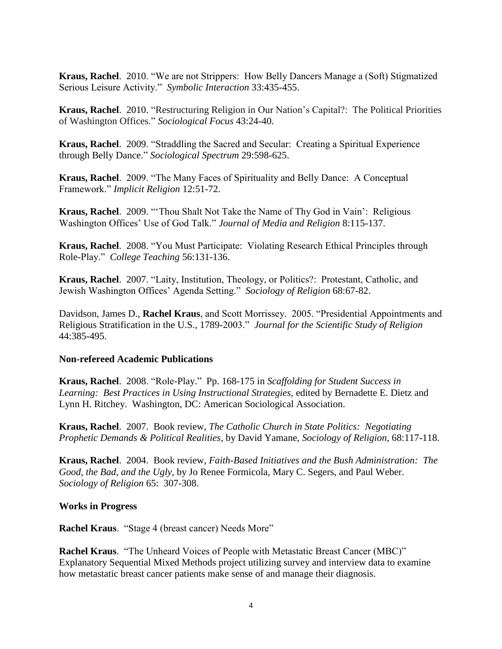**Kraus, Rachel**. 2010. "We are not Strippers: How Belly Dancers Manage a (Soft) Stigmatized Serious Leisure Activity." *Symbolic Interaction* 33:435-455.

**Kraus, Rachel**. 2010. "Restructuring Religion in Our Nation's Capital?: The Political Priorities of Washington Offices." *Sociological Focus* 43:24-40.

**Kraus, Rachel**. 2009. "Straddling the Sacred and Secular: Creating a Spiritual Experience through Belly Dance." *Sociological Spectrum* 29:598-625.

**Kraus, Rachel**. 2009. "The Many Faces of Spirituality and Belly Dance: A Conceptual Framework." *Implicit Religion* 12:51-72.

**Kraus, Rachel**. 2009. "'Thou Shalt Not Take the Name of Thy God in Vain': Religious Washington Offices' Use of God Talk." *Journal of Media and Religion* 8:115-137.

**Kraus, Rachel**. 2008. "You Must Participate: Violating Research Ethical Principles through Role-Play." *College Teaching* 56:131-136.

**Kraus, Rachel**. 2007. "Laity, Institution, Theology, or Politics?: Protestant, Catholic, and Jewish Washington Offices' Agenda Setting." *Sociology of Religion* 68:67-82.

Davidson, James D., **Rachel Kraus**, and Scott Morrissey. 2005. "Presidential Appointments and Religious Stratification in the U.S., 1789-2003." *Journal for the Scientific Study of Religion* 44:385-495.

### **Non-refereed Academic Publications**

**Kraus, Rachel**. 2008. "Role-Play." Pp. 168-175 in *Scaffolding for Student Success in Learning: Best Practices in Using Instructional Strategies,* edited by Bernadette E. Dietz and Lynn H. Ritchey. Washington, DC: American Sociological Association.

**Kraus, Rachel**. 2007. Book review, *The Catholic Church in State Politics: Negotiating Prophetic Demands & Political Realities*, by David Yamane, *Sociology of Religion*, 68:117-118.

**Kraus, Rachel**. 2004. Book review, *Faith-Based Initiatives and the Bush Administration: The Good, the Bad, and the Ugly,* by Jo Renee Formicola, Mary C. Segers, and Paul Weber. *Sociology of Religion* 65: 307-308.

### **Works in Progress**

**Rachel Kraus**. "Stage 4 (breast cancer) Needs More"

**Rachel Kraus**. "The Unheard Voices of People with Metastatic Breast Cancer (MBC)" Explanatory Sequential Mixed Methods project utilizing survey and interview data to examine how metastatic breast cancer patients make sense of and manage their diagnosis.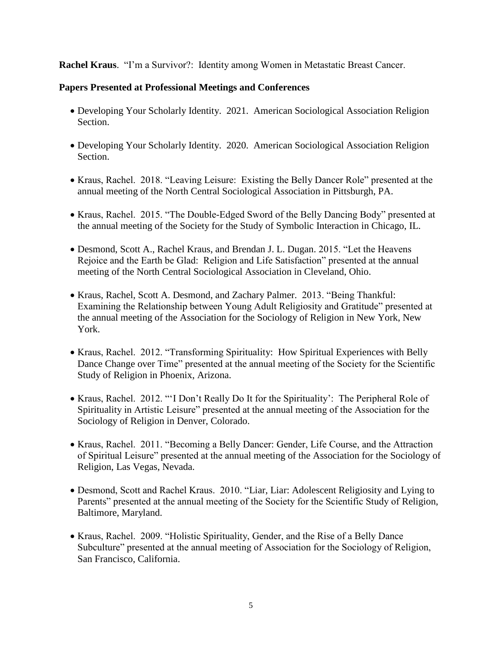**Rachel Kraus**. "I'm a Survivor?: Identity among Women in Metastatic Breast Cancer.

### **Papers Presented at Professional Meetings and Conferences**

- Developing Your Scholarly Identity. 2021. American Sociological Association Religion Section.
- Developing Your Scholarly Identity. 2020. American Sociological Association Religion Section.
- Kraus, Rachel. 2018. "Leaving Leisure: Existing the Belly Dancer Role" presented at the annual meeting of the North Central Sociological Association in Pittsburgh, PA.
- Kraus, Rachel. 2015. "The Double-Edged Sword of the Belly Dancing Body" presented at the annual meeting of the Society for the Study of Symbolic Interaction in Chicago, IL.
- Desmond, Scott A., Rachel Kraus, and Brendan J. L. Dugan. 2015. "Let the Heavens Rejoice and the Earth be Glad: Religion and Life Satisfaction" presented at the annual meeting of the North Central Sociological Association in Cleveland, Ohio.
- Kraus, Rachel, Scott A. Desmond, and Zachary Palmer. 2013. "Being Thankful: Examining the Relationship between Young Adult Religiosity and Gratitude" presented at the annual meeting of the Association for the Sociology of Religion in New York, New York.
- Kraus, Rachel. 2012. "Transforming Spirituality: How Spiritual Experiences with Belly Dance Change over Time" presented at the annual meeting of the Society for the Scientific Study of Religion in Phoenix, Arizona.
- Kraus, Rachel. 2012. "'I Don't Really Do It for the Spirituality': The Peripheral Role of Spirituality in Artistic Leisure" presented at the annual meeting of the Association for the Sociology of Religion in Denver, Colorado.
- Kraus, Rachel. 2011. "Becoming a Belly Dancer: Gender, Life Course, and the Attraction of Spiritual Leisure" presented at the annual meeting of the Association for the Sociology of Religion, Las Vegas, Nevada.
- Desmond, Scott and Rachel Kraus. 2010. "Liar, Liar: Adolescent Religiosity and Lying to Parents" presented at the annual meeting of the Society for the Scientific Study of Religion, Baltimore, Maryland.
- Kraus, Rachel. 2009. "Holistic Spirituality, Gender, and the Rise of a Belly Dance Subculture" presented at the annual meeting of Association for the Sociology of Religion, San Francisco, California.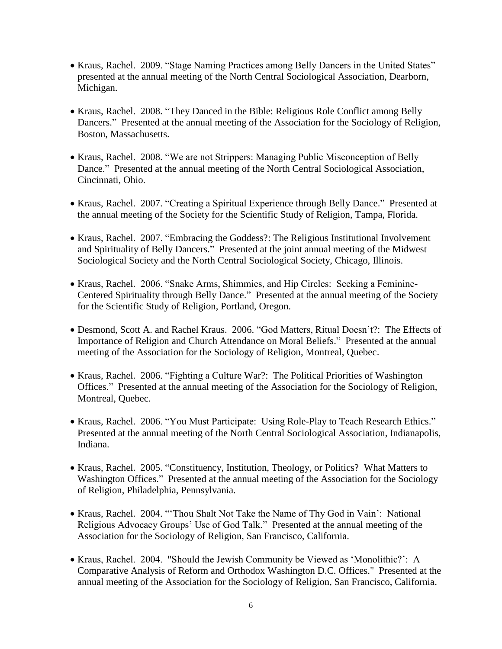- Kraus, Rachel. 2009. "Stage Naming Practices among Belly Dancers in the United States" presented at the annual meeting of the North Central Sociological Association, Dearborn, Michigan.
- Kraus, Rachel. 2008. "They Danced in the Bible: Religious Role Conflict among Belly Dancers." Presented at the annual meeting of the Association for the Sociology of Religion, Boston, Massachusetts.
- Kraus, Rachel. 2008. "We are not Strippers: Managing Public Misconception of Belly Dance." Presented at the annual meeting of the North Central Sociological Association, Cincinnati, Ohio.
- Kraus, Rachel. 2007. "Creating a Spiritual Experience through Belly Dance." Presented at the annual meeting of the Society for the Scientific Study of Religion, Tampa, Florida.
- Kraus, Rachel. 2007. "Embracing the Goddess?: The Religious Institutional Involvement and Spirituality of Belly Dancers." Presented at the joint annual meeting of the Midwest Sociological Society and the North Central Sociological Society, Chicago, Illinois.
- Kraus, Rachel. 2006. "Snake Arms, Shimmies, and Hip Circles: Seeking a Feminine-Centered Spirituality through Belly Dance." Presented at the annual meeting of the Society for the Scientific Study of Religion, Portland, Oregon.
- Desmond, Scott A. and Rachel Kraus. 2006. "God Matters, Ritual Doesn't?: The Effects of Importance of Religion and Church Attendance on Moral Beliefs." Presented at the annual meeting of the Association for the Sociology of Religion, Montreal, Quebec.
- Kraus, Rachel. 2006. "Fighting a Culture War?: The Political Priorities of Washington Offices." Presented at the annual meeting of the Association for the Sociology of Religion, Montreal, Quebec.
- Kraus, Rachel. 2006. "You Must Participate: Using Role-Play to Teach Research Ethics." Presented at the annual meeting of the North Central Sociological Association, Indianapolis, Indiana.
- Kraus, Rachel. 2005. "Constituency, Institution, Theology, or Politics? What Matters to Washington Offices." Presented at the annual meeting of the Association for the Sociology of Religion, Philadelphia, Pennsylvania.
- Kraus, Rachel. 2004. "'Thou Shalt Not Take the Name of Thy God in Vain': National Religious Advocacy Groups' Use of God Talk." Presented at the annual meeting of the Association for the Sociology of Religion, San Francisco, California.
- Kraus, Rachel. 2004. "Should the Jewish Community be Viewed as 'Monolithic?': A Comparative Analysis of Reform and Orthodox Washington D.C. Offices." Presented at the annual meeting of the Association for the Sociology of Religion, San Francisco, California.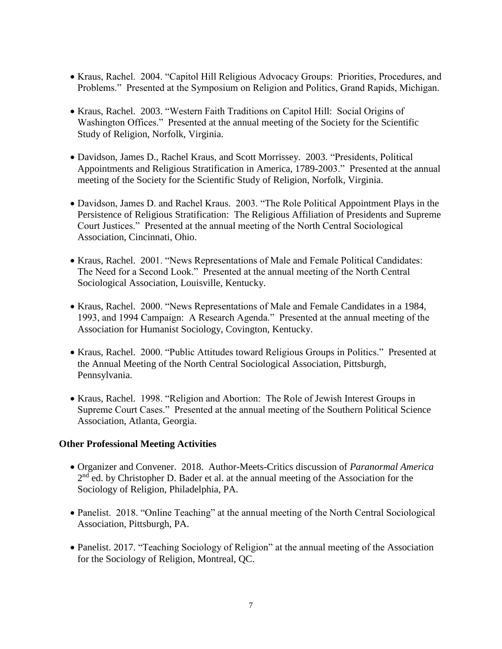- Kraus, Rachel. 2004. "Capitol Hill Religious Advocacy Groups: Priorities, Procedures, and Problems." Presented at the Symposium on Religion and Politics, Grand Rapids, Michigan.
- Kraus, Rachel. 2003. "Western Faith Traditions on Capitol Hill: Social Origins of Washington Offices." Presented at the annual meeting of the Society for the Scientific Study of Religion, Norfolk, Virginia.
- Davidson, James D., Rachel Kraus, and Scott Morrissey. 2003. "Presidents, Political Appointments and Religious Stratification in America, 1789-2003." Presented at the annual meeting of the Society for the Scientific Study of Religion, Norfolk, Virginia.
- Davidson, James D. and Rachel Kraus. 2003. "The Role Political Appointment Plays in the Persistence of Religious Stratification: The Religious Affiliation of Presidents and Supreme Court Justices." Presented at the annual meeting of the North Central Sociological Association, Cincinnati, Ohio.
- Kraus, Rachel. 2001. "News Representations of Male and Female Political Candidates: The Need for a Second Look." Presented at the annual meeting of the North Central Sociological Association, Louisville, Kentucky.
- Kraus, Rachel. 2000. "News Representations of Male and Female Candidates in a 1984, 1993, and 1994 Campaign: A Research Agenda." Presented at the annual meeting of the Association for Humanist Sociology, Covington, Kentucky.
- Kraus, Rachel. 2000. "Public Attitudes toward Religious Groups in Politics." Presented at the Annual Meeting of the North Central Sociological Association, Pittsburgh, Pennsylvania.
- Kraus, Rachel. 1998. "Religion and Abortion: The Role of Jewish Interest Groups in Supreme Court Cases." Presented at the annual meeting of the Southern Political Science Association, Atlanta, Georgia.

### **Other Professional Meeting Activities**

- Organizer and Convener. 2018. Author-Meets-Critics discussion of *Paranormal America* 2<sup>nd</sup> ed. by Christopher D. Bader et al. at the annual meeting of the Association for the Sociology of Religion, Philadelphia, PA.
- Panelist. 2018. "Online Teaching" at the annual meeting of the North Central Sociological Association, Pittsburgh, PA.
- Panelist. 2017. "Teaching Sociology of Religion" at the annual meeting of the Association for the Sociology of Religion, Montreal, QC.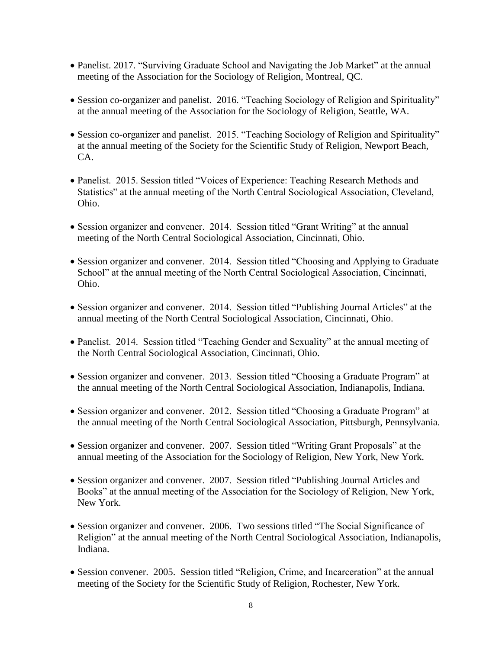- Panelist. 2017. "Surviving Graduate School and Navigating the Job Market" at the annual meeting of the Association for the Sociology of Religion, Montreal, QC.
- Session co-organizer and panelist. 2016. "Teaching Sociology of Religion and Spirituality" at the annual meeting of the Association for the Sociology of Religion, Seattle, WA.
- Session co-organizer and panelist. 2015. "Teaching Sociology of Religion and Spirituality" at the annual meeting of the Society for the Scientific Study of Religion, Newport Beach, CA.
- Panelist. 2015. Session titled "Voices of Experience: Teaching Research Methods and Statistics" at the annual meeting of the North Central Sociological Association, Cleveland, Ohio.
- Session organizer and convener. 2014. Session titled "Grant Writing" at the annual meeting of the North Central Sociological Association, Cincinnati, Ohio.
- Session organizer and convener. 2014. Session titled "Choosing and Applying to Graduate School" at the annual meeting of the North Central Sociological Association, Cincinnati, Ohio.
- Session organizer and convener. 2014. Session titled "Publishing Journal Articles" at the annual meeting of the North Central Sociological Association, Cincinnati, Ohio.
- Panelist. 2014. Session titled "Teaching Gender and Sexuality" at the annual meeting of the North Central Sociological Association, Cincinnati, Ohio.
- Session organizer and convener. 2013. Session titled "Choosing a Graduate Program" at the annual meeting of the North Central Sociological Association, Indianapolis, Indiana.
- Session organizer and convener. 2012. Session titled "Choosing a Graduate Program" at the annual meeting of the North Central Sociological Association, Pittsburgh, Pennsylvania.
- Session organizer and convener. 2007. Session titled "Writing Grant Proposals" at the annual meeting of the Association for the Sociology of Religion, New York, New York.
- Session organizer and convener. 2007. Session titled "Publishing Journal Articles and Books" at the annual meeting of the Association for the Sociology of Religion, New York, New York.
- Session organizer and convener. 2006. Two sessions titled "The Social Significance of Religion" at the annual meeting of the North Central Sociological Association, Indianapolis, Indiana.
- Session convener. 2005. Session titled "Religion, Crime, and Incarceration" at the annual meeting of the Society for the Scientific Study of Religion, Rochester, New York.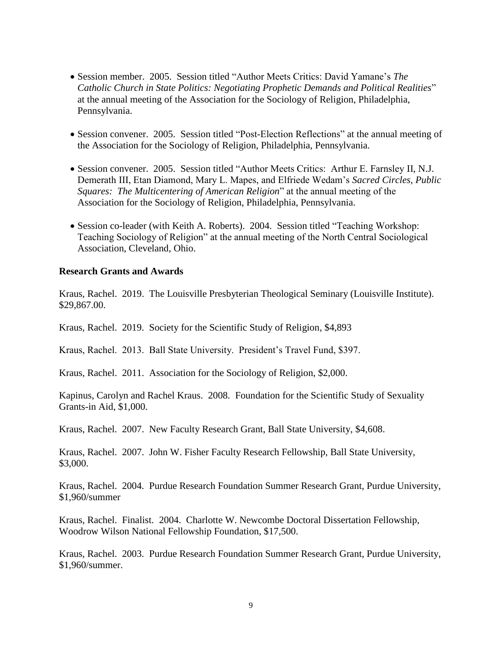- Session member. 2005. Session titled "Author Meets Critics: David Yamane's *The Catholic Church in State Politics: Negotiating Prophetic Demands and Political Realities*" at the annual meeting of the Association for the Sociology of Religion, Philadelphia, Pennsylvania.
- Session convener. 2005. Session titled "Post-Election Reflections" at the annual meeting of the Association for the Sociology of Religion, Philadelphia, Pennsylvania.
- Session convener. 2005. Session titled "Author Meets Critics: Arthur E. Farnsley II, N.J. Demerath III, Etan Diamond, Mary L. Mapes, and Elfriede Wedam's *Sacred Circles, Public Squares: The Multicentering of American Religion*" at the annual meeting of the Association for the Sociology of Religion, Philadelphia, Pennsylvania.
- Session co-leader (with Keith A. Roberts). 2004. Session titled "Teaching Workshop: Teaching Sociology of Religion" at the annual meeting of the North Central Sociological Association, Cleveland, Ohio.

#### **Research Grants and Awards**

Kraus, Rachel. 2019. The Louisville Presbyterian Theological Seminary (Louisville Institute). \$29,867.00.

Kraus, Rachel. 2019. Society for the Scientific Study of Religion, \$4,893

Kraus, Rachel. 2013. Ball State University. President's Travel Fund, \$397.

Kraus, Rachel. 2011. Association for the Sociology of Religion, \$2,000.

Kapinus, Carolyn and Rachel Kraus. 2008. Foundation for the Scientific Study of Sexuality Grants-in Aid, \$1,000.

Kraus, Rachel. 2007. New Faculty Research Grant, Ball State University, \$4,608.

Kraus, Rachel. 2007. John W. Fisher Faculty Research Fellowship, Ball State University, \$3,000.

Kraus, Rachel. 2004. Purdue Research Foundation Summer Research Grant, Purdue University, \$1,960/summer

Kraus, Rachel. Finalist. 2004. Charlotte W. Newcombe Doctoral Dissertation Fellowship, Woodrow Wilson National Fellowship Foundation, \$17,500.

Kraus, Rachel. 2003. Purdue Research Foundation Summer Research Grant, Purdue University, \$1,960/summer.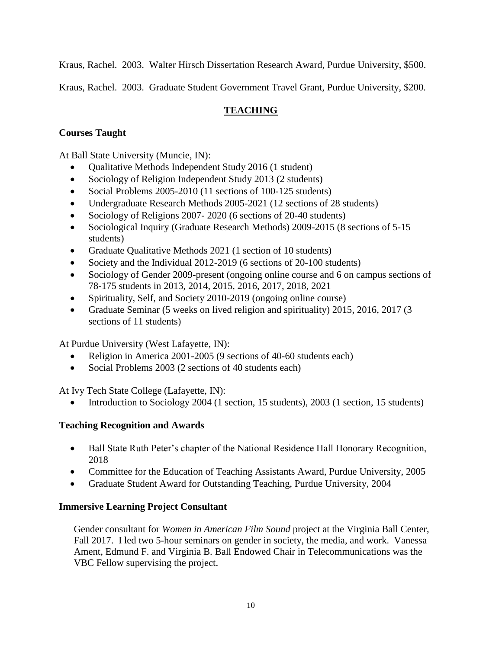Kraus, Rachel. 2003. Walter Hirsch Dissertation Research Award, Purdue University, \$500.

Kraus, Rachel. 2003. Graduate Student Government Travel Grant, Purdue University, \$200.

# **TEACHING**

# **Courses Taught**

At Ball State University (Muncie, IN):

- Qualitative Methods Independent Study 2016 (1 student)
- Sociology of Religion Independent Study 2013 (2 students)
- Social Problems 2005-2010 (11 sections of 100-125 students)
- Undergraduate Research Methods 2005-2021 (12 sections of 28 students)
- Sociology of Religions 2007- 2020 (6 sections of 20-40 students)
- Sociological Inquiry (Graduate Research Methods) 2009-2015 (8 sections of 5-15 students)
- Graduate Qualitative Methods 2021 (1 section of 10 students)
- Society and the Individual 2012-2019 (6 sections of 20-100 students)
- Sociology of Gender 2009-present (ongoing online course and 6 on campus sections of 78-175 students in 2013, 2014, 2015, 2016, 2017, 2018, 2021
- Spirituality, Self, and Society 2010-2019 (ongoing online course)
- Graduate Seminar (5 weeks on lived religion and spirituality) 2015, 2016, 2017 (3 sections of 11 students)

At Purdue University (West Lafayette, IN):

- Religion in America 2001-2005 (9 sections of 40-60 students each)
- Social Problems 2003 (2 sections of 40 students each)

At Ivy Tech State College (Lafayette, IN):

Introduction to Sociology 2004 (1 section, 15 students), 2003 (1 section, 15 students)

### **Teaching Recognition and Awards**

- Ball State Ruth Peter's chapter of the National Residence Hall Honorary Recognition, 2018
- Committee for the Education of Teaching Assistants Award, Purdue University, 2005
- Graduate Student Award for Outstanding Teaching, Purdue University, 2004

### **Immersive Learning Project Consultant**

Gender consultant for *Women in American Film Sound* project at the Virginia Ball Center, Fall 2017. I led two 5-hour seminars on gender in society, the media, and work. Vanessa Ament, Edmund F. and Virginia B. Ball Endowed Chair in Telecommunications was the VBC Fellow supervising the project.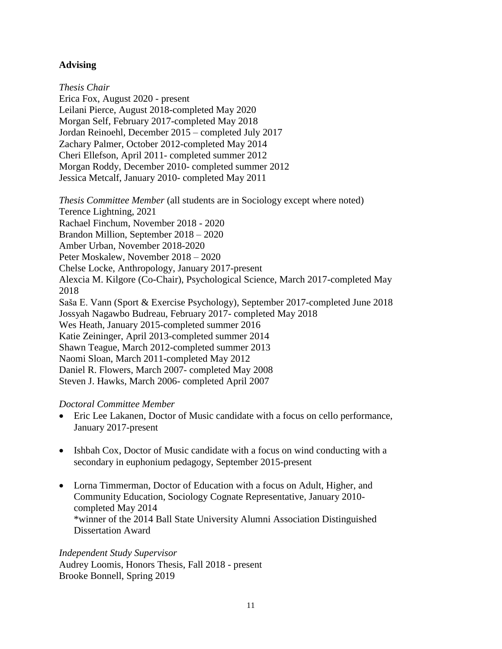### **Advising**

*Thesis Chair* Erica Fox, August 2020 - present Leilani Pierce, August 2018-completed May 2020 Morgan Self, February 2017-completed May 2018 Jordan Reinoehl, December 2015 – completed July 2017 Zachary Palmer, October 2012-completed May 2014 Cheri Ellefson, April 2011- completed summer 2012 Morgan Roddy, December 2010- completed summer 2012 Jessica Metcalf, January 2010- completed May 2011

*Thesis Committee Member* (all students are in Sociology except where noted) Terence Lightning, 2021 Rachael Finchum, November 2018 - 2020 Brandon Million, September 2018 – 2020 Amber Urban, November 2018-2020 Peter Moskalew, November 2018 – 2020 Chelse Locke, Anthropology, January 2017-present Alexcia M. Kilgore (Co-Chair), Psychological Science, March 2017-completed May 2018 Saša E. Vann (Sport & Exercise Psychology), September 2017-completed June 2018 Jossyah Nagawbo Budreau, February 2017- completed May 2018 Wes Heath, January 2015-completed summer 2016 Katie Zeininger, April 2013-completed summer 2014 Shawn Teague, March 2012-completed summer 2013 Naomi Sloan, March 2011-completed May 2012 Daniel R. Flowers, March 2007- completed May 2008 Steven J. Hawks, March 2006- completed April 2007

### *Doctoral Committee Member*

- Eric Lee Lakanen, Doctor of Music candidate with a focus on cello performance, January 2017-present
- Ishbah Cox, Doctor of Music candidate with a focus on wind conducting with a secondary in euphonium pedagogy, September 2015-present
- Lorna Timmerman, Doctor of Education with a focus on Adult, Higher, and Community Education, Sociology Cognate Representative, January 2010 completed May 2014 \*winner of the 2014 Ball State University Alumni Association Distinguished Dissertation Award

*Independent Study Supervisor* Audrey Loomis, Honors Thesis, Fall 2018 - present Brooke Bonnell, Spring 2019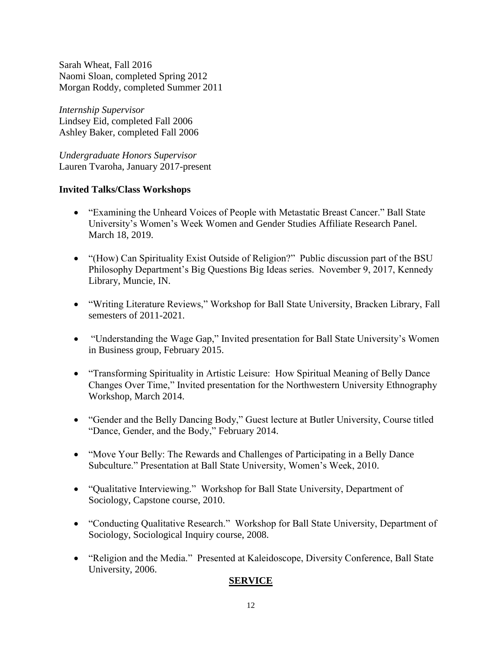Sarah Wheat, Fall 2016 Naomi Sloan, completed Spring 2012 Morgan Roddy, completed Summer 2011

*Internship Supervisor* Lindsey Eid, completed Fall 2006 Ashley Baker, completed Fall 2006

*Undergraduate Honors Supervisor* Lauren Tvaroha, January 2017-present

### **Invited Talks/Class Workshops**

- "Examining the Unheard Voices of People with Metastatic Breast Cancer." Ball State University's Women's Week Women and Gender Studies Affiliate Research Panel. March 18, 2019.
- "(How) Can Spirituality Exist Outside of Religion?" Public discussion part of the BSU Philosophy Department's Big Questions Big Ideas series. November 9, 2017, Kennedy Library, Muncie, IN.
- "Writing Literature Reviews," Workshop for Ball State University, Bracken Library, Fall semesters of 2011-2021.
- "Understanding the Wage Gap," Invited presentation for Ball State University's Women in Business group, February 2015.
- "Transforming Spirituality in Artistic Leisure: How Spiritual Meaning of Belly Dance Changes Over Time," Invited presentation for the Northwestern University Ethnography Workshop, March 2014.
- "Gender and the Belly Dancing Body," Guest lecture at Butler University, Course titled "Dance, Gender, and the Body," February 2014.
- "Move Your Belly: The Rewards and Challenges of Participating in a Belly Dance Subculture." Presentation at Ball State University, Women's Week, 2010.
- "Qualitative Interviewing." Workshop for Ball State University, Department of Sociology, Capstone course, 2010.
- "Conducting Qualitative Research." Workshop for Ball State University, Department of Sociology, Sociological Inquiry course, 2008.
- "Religion and the Media." Presented at Kaleidoscope, Diversity Conference, Ball State University, 2006.

### **SERVICE**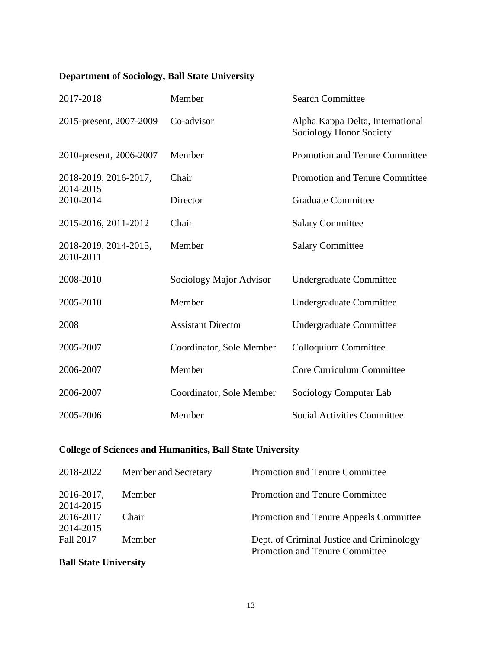# **Department of Sociology, Ball State University**

| 2017-2018                          | Member                    | <b>Search Committee</b>                                     |
|------------------------------------|---------------------------|-------------------------------------------------------------|
| 2015-present, 2007-2009            | Co-advisor                | Alpha Kappa Delta, International<br>Sociology Honor Society |
| 2010-present, 2006-2007            | Member                    | <b>Promotion and Tenure Committee</b>                       |
| 2018-2019, 2016-2017,<br>2014-2015 | Chair                     | <b>Promotion and Tenure Committee</b>                       |
| 2010-2014                          | Director                  | <b>Graduate Committee</b>                                   |
| 2015-2016, 2011-2012               | Chair                     | <b>Salary Committee</b>                                     |
| 2018-2019, 2014-2015,<br>2010-2011 | Member                    | <b>Salary Committee</b>                                     |
| 2008-2010                          | Sociology Major Advisor   | Undergraduate Committee                                     |
| 2005-2010                          | Member                    | <b>Undergraduate Committee</b>                              |
| 2008                               | <b>Assistant Director</b> | <b>Undergraduate Committee</b>                              |
| 2005-2007                          | Coordinator, Sole Member  | Colloquium Committee                                        |
| 2006-2007                          | Member                    | Core Curriculum Committee                                   |
| 2006-2007                          | Coordinator, Sole Member  | Sociology Computer Lab                                      |
| 2005-2006                          | Member                    | <b>Social Activities Committee</b>                          |

# **College of Sciences and Humanities, Ball State University**

| 2018-2022  | Member and Secretary | Promotion and Tenure Committee            |
|------------|----------------------|-------------------------------------------|
| 2016-2017, | Member               | <b>Promotion and Tenure Committee</b>     |
| 2014-2015  |                      |                                           |
| 2016-2017  | Chair                | Promotion and Tenure Appeals Committee    |
| 2014-2015  |                      |                                           |
| Fall 2017  | Member               | Dept. of Criminal Justice and Criminology |
|            |                      | <b>Promotion and Tenure Committee</b>     |

# **Ball State University**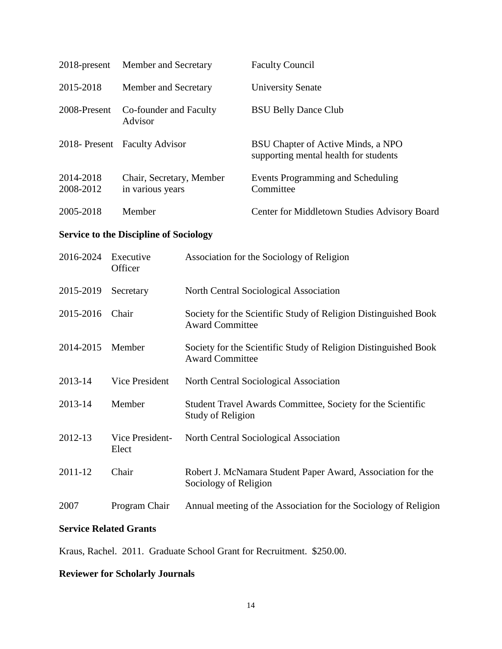| 2018-present                                  | Member and Secretary                         |                                                                                           | <b>Faculty Council</b>                                                      |  |  |
|-----------------------------------------------|----------------------------------------------|-------------------------------------------------------------------------------------------|-----------------------------------------------------------------------------|--|--|
| 2015-2018                                     | Member and Secretary                         |                                                                                           | <b>University Senate</b>                                                    |  |  |
| 2008-Present                                  | Co-founder and Faculty<br>Advisor            |                                                                                           | <b>BSU Belly Dance Club</b>                                                 |  |  |
| 2018-Present                                  | <b>Faculty Advisor</b>                       |                                                                                           | BSU Chapter of Active Minds, a NPO<br>supporting mental health for students |  |  |
| 2014-2018<br>2008-2012                        | Chair, Secretary, Member<br>in various years |                                                                                           | Events Programming and Scheduling<br>Committee                              |  |  |
| 2005-2018                                     | Member                                       |                                                                                           | Center for Middletown Studies Advisory Board                                |  |  |
| <b>Service to the Discipline of Sociology</b> |                                              |                                                                                           |                                                                             |  |  |
| 2016-2024                                     | Executive<br>Officer                         | Association for the Sociology of Religion                                                 |                                                                             |  |  |
| 2015-2019                                     | Secretary                                    | North Central Sociological Association                                                    |                                                                             |  |  |
| 2015-2016                                     | Chair                                        | Society for the Scientific Study of Religion Distinguished Book<br><b>Award Committee</b> |                                                                             |  |  |
| 2014-2015                                     | Member                                       | Society for the Scientific Study of Religion Distinguished Book<br><b>Award Committee</b> |                                                                             |  |  |
| 2013-14                                       | Vice President                               | North Central Sociological Association                                                    |                                                                             |  |  |
| 2013-14                                       | Member                                       | Student Travel Awards Committee, Society for the Scientific<br><b>Study of Religion</b>   |                                                                             |  |  |
| 2012-13                                       | Vice President-<br>Elect                     | North Central Sociological Association                                                    |                                                                             |  |  |
| 2011-12                                       | Chair                                        | Robert J. McNamara Student Paper Award, Association for the<br>Sociology of Religion      |                                                                             |  |  |
| 2007                                          | Program Chair                                | Annual meeting of the Association for the Sociology of Religion                           |                                                                             |  |  |

# **Service Related Grants**

Kraus, Rachel. 2011. Graduate School Grant for Recruitment. \$250.00.

# **Reviewer for Scholarly Journals**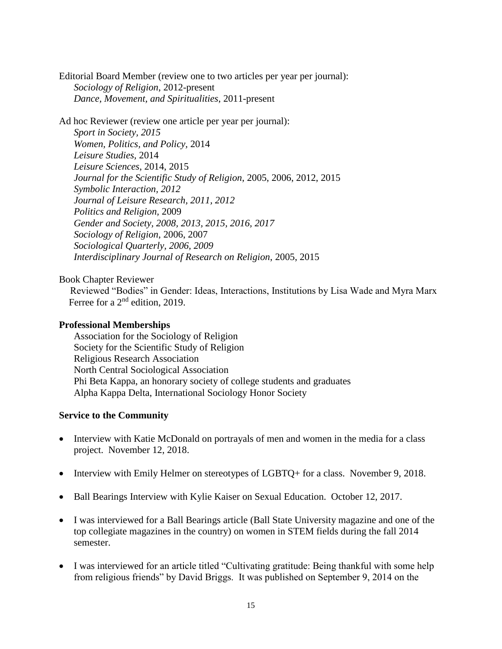Editorial Board Member (review one to two articles per year per journal): *Sociology of Religion*, 2012-present *Dance, Movement, and Spiritualities*, 2011-present

Ad hoc Reviewer (review one article per year per journal): *Sport in Society, 2015 Women, Politics, and Policy,* 2014 *Leisure Studies,* 2014 *Leisure Sciences*, 2014, 2015 *Journal for the Scientific Study of Religion*, 2005, 2006, 2012, 2015 *Symbolic Interaction, 2012 Journal of Leisure Research, 2011, 2012 Politics and Religion,* 2009 *Gender and Society, 2008, 2013, 2015, 2016, 2017 Sociology of Religion*, 2006, 2007 *Sociological Quarterly, 2006, 2009 Interdisciplinary Journal of Research on Religion*, 2005, 2015

Book Chapter Reviewer

Reviewed "Bodies" in Gender: Ideas, Interactions, Institutions by Lisa Wade and Myra Marx Ferree for a 2<sup>nd</sup> edition, 2019.

### **Professional Memberships**

Association for the Sociology of Religion Society for the Scientific Study of Religion Religious Research Association North Central Sociological Association Phi Beta Kappa, an honorary society of college students and graduates Alpha Kappa Delta, International Sociology Honor Society

### **Service to the Community**

- Interview with Katie McDonald on portrayals of men and women in the media for a class project. November 12, 2018.
- Interview with Emily Helmer on stereotypes of LGBTQ+ for a class. November 9, 2018.
- Ball Bearings Interview with Kylie Kaiser on Sexual Education. October 12, 2017.
- I was interviewed for a Ball Bearings article (Ball State University magazine and one of the top collegiate magazines in the country) on women in STEM fields during the fall 2014 semester.
- I was interviewed for an article titled "Cultivating gratitude: Being thankful with some help from religious friends" by David Briggs. It was published on September 9, 2014 on the